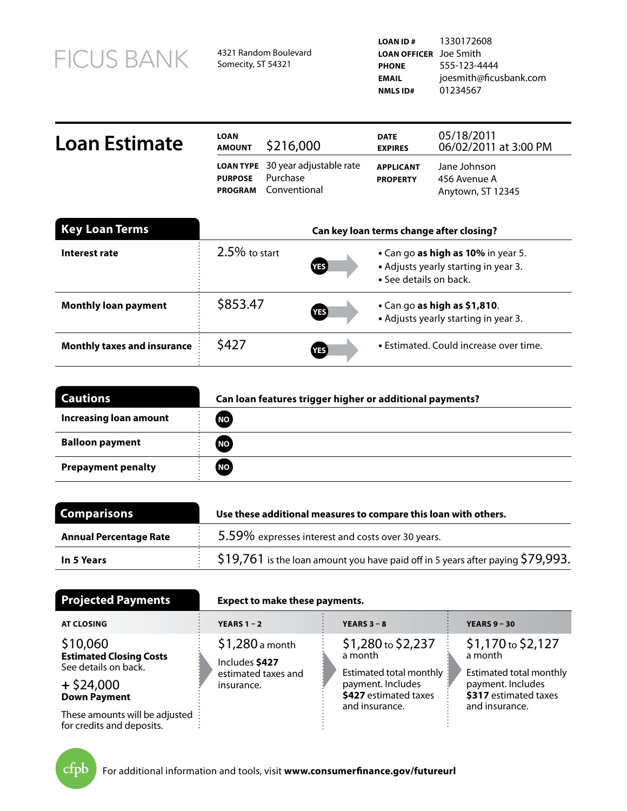| <b>FICUS BANK</b> |
|-------------------|
|-------------------|

4321 Random Boulevard Somecity, ST 54321

| Loan Estimate | <b>LOAN</b><br><b>AMOUNT</b>     | \$216,000                                                            | <b>DATE</b><br><b>EXPIRES</b>       | 05/18/2011<br>06/02/2011 at 3:00 PM               |
|---------------|----------------------------------|----------------------------------------------------------------------|-------------------------------------|---------------------------------------------------|
|               | <b>PURPOSE</b><br><b>PROGRAM</b> | <b>LOAN TYPE</b> 30 year adjustable rate<br>Purchase<br>Conventional | <b>APPLICANT</b><br><b>PROPERTY</b> | Jane Johnson<br>456 Avenue A<br>Anytown, ST 12345 |

| <b>Key Loan Terms</b>              | Can key loan terms change after closing? |                  |                                                                                                      |
|------------------------------------|------------------------------------------|------------------|------------------------------------------------------------------------------------------------------|
| Interest rate                      | $2.5\%$ to start                         | YES <sup></sup>  | • Can go as high as 10% in year 5.<br>• Adjusts yearly starting in year 3.<br>• See details on back. |
| <b>Monthly loan payment</b>        | \$853.47                                 | YES <sup></sup>  | $\cdot$ Can go as high as \$1,810.<br>• Adjusts yearly starting in year 3.                           |
| <b>Monthly taxes and insurance</b> | \$427                                    | YES <sup>)</sup> | • Estimated. Could increase over time.                                                               |

| <b>Cautions</b>               | Can loan features trigger higher or additional payments? |
|-------------------------------|----------------------------------------------------------|
| <b>Increasing loan amount</b> | <b>NO</b>                                                |
| <b>Balloon payment</b>        | <b>NO</b>                                                |
| <b>Prepayment penalty</b>     | NO <sub>1</sub>                                          |

| <b>Comparisons</b>            | Use these additional measures to compare this loan with others.                             |  |  |  |
|-------------------------------|---------------------------------------------------------------------------------------------|--|--|--|
| <b>Annual Percentage Rate</b> | 5.59% expresses interest and costs over 30 years.                                           |  |  |  |
| In 5 Years                    | $\frac{1}{2}$ 19,761 is the loan amount you have paid off in 5 years after paying \$79,993. |  |  |  |

| <b>Projected Payments</b>                                          | <b>Expect to make these payments.</b> |                                                                         |                                                                       |
|--------------------------------------------------------------------|---------------------------------------|-------------------------------------------------------------------------|-----------------------------------------------------------------------|
| <b>AT CLOSING</b>                                                  | <b>YEARS 1 - 2</b>                    | <b>YEARS 3 - 8</b>                                                      | <b>YEARS 9 - 30</b>                                                   |
| \$10,060<br><b>Estimated Closing Costs</b><br>See details on back. | $$1,280$ a month<br>Includes \$427    | \$1,280 to \$2,237<br>a month                                           | $$1,170$ to $$2,127$<br>a month                                       |
| $+$ \$24,000<br><b>Down Payment</b>                                | estimated taxes and<br>insurance.     | Estimated total monthly :<br>payment. Includes<br>\$427 estimated taxes | Estimated total monthly<br>payment. Includes<br>\$317 estimated taxes |
| These amounts will be adjusted<br>for credits and deposits.        |                                       | and insurance.                                                          | and insurance.                                                        |

for credits and deposits.